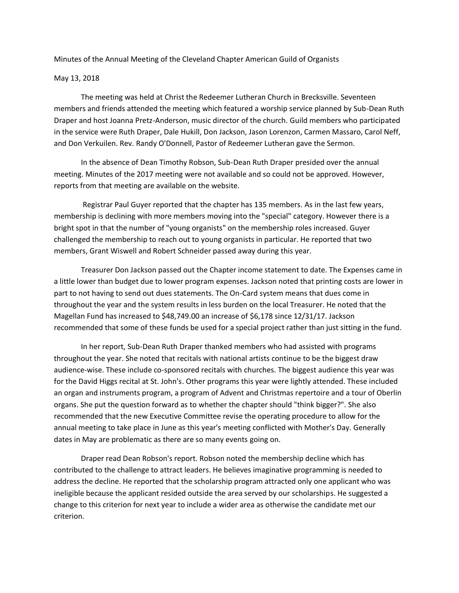Minutes of the Annual Meeting of the Cleveland Chapter American Guild of Organists

#### May 13, 2018

The meeting was held at Christ the Redeemer Lutheran Church in Brecksville. Seventeen members and friends attended the meeting which featured a worship service planned by Sub-Dean Ruth Draper and host Joanna Pretz-Anderson, music director of the church. Guild members who participated in the service were Ruth Draper, Dale Hukill, Don Jackson, Jason Lorenzon, Carmen Massaro, Carol Neff, and Don Verkuilen. Rev. Randy O'Donnell, Pastor of Redeemer Lutheran gave the Sermon.

In the absence of Dean Timothy Robson, Sub-Dean Ruth Draper presided over the annual meeting. Minutes of the 2017 meeting were not available and so could not be approved. However, reports from that meeting are available on the website.

Registrar Paul Guyer reported that the chapter has 135 members. As in the last few years, membership is declining with more members moving into the "special" category. However there is a bright spot in that the number of "young organists" on the membership roles increased. Guyer challenged the membership to reach out to young organists in particular. He reported that two members, Grant Wiswell and Robert Schneider passed away during this year.

Treasurer Don Jackson passed out the Chapter income statement to date. The Expenses came in a little lower than budget due to lower program expenses. Jackson noted that printing costs are lower in part to not having to send out dues statements. The On-Card system means that dues come in throughout the year and the system results in less burden on the local Treasurer. He noted that the Magellan Fund has increased to \$48,749.00 an increase of \$6,178 since 12/31/17. Jackson recommended that some of these funds be used for a special project rather than just sitting in the fund.

In her report, Sub-Dean Ruth Draper thanked members who had assisted with programs throughout the year. She noted that recitals with national artists continue to be the biggest draw audience-wise. These include co-sponsored recitals with churches. The biggest audience this year was for the David Higgs recital at St. John's. Other programs this year were lightly attended. These included an organ and instruments program, a program of Advent and Christmas repertoire and a tour of Oberlin organs. She put the question forward as to whether the chapter should "think bigger?". She also recommended that the new Executive Committee revise the operating procedure to allow for the annual meeting to take place in June as this year's meeting conflicted with Mother's Day. Generally dates in May are problematic as there are so many events going on.

Draper read Dean Robson's report. Robson noted the membership decline which has contributed to the challenge to attract leaders. He believes imaginative programming is needed to address the decline. He reported that the scholarship program attracted only one applicant who was ineligible because the applicant resided outside the area served by our scholarships. He suggested a change to this criterion for next year to include a wider area as otherwise the candidate met our criterion.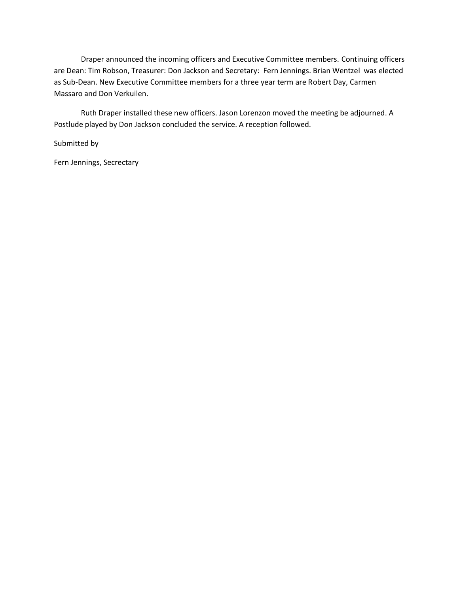Draper announced the incoming officers and Executive Committee members. Continuing officers are Dean: Tim Robson, Treasurer: Don Jackson and Secretary: Fern Jennings. Brian Wentzel was elected as Sub-Dean. New Executive Committee members for a three year term are Robert Day, Carmen Massaro and Don Verkuilen.

Ruth Draper installed these new officers. Jason Lorenzon moved the meeting be adjourned. A Postlude played by Don Jackson concluded the service. A reception followed.

Submitted by

Fern Jennings, Secrectary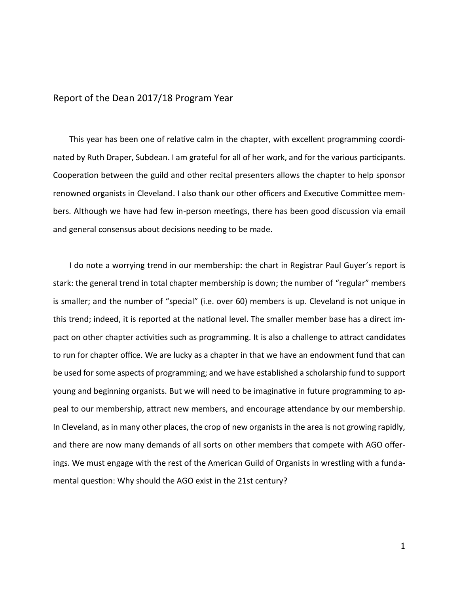### Report of the Dean 2017/18 Program Year

This year has been one of relative calm in the chapter, with excellent programming coordinated by Ruth Draper, Subdean. I am grateful for all of her work, and for the various participants. Cooperation between the guild and other recital presenters allows the chapter to help sponsor renowned organists in Cleveland. I also thank our other officers and Executive Committee members. Although we have had few in-person meetings, there has been good discussion via email and general consensus about decisions needing to be made.

I do note a worrying trend in our membership: the chart in Registrar Paul Guyer's report is stark: the general trend in total chapter membership is down; the number of "regular" members is smaller; and the number of "special" (i.e. over 60) members is up. Cleveland is not unique in this trend; indeed, it is reported at the national level. The smaller member base has a direct impact on other chapter activities such as programming. It is also a challenge to attract candidates to run for chapter office. We are lucky as a chapter in that we have an endowment fund that can be used for some aspects of programming; and we have established a scholarship fund to support young and beginning organists. But we will need to be imaginative in future programming to appeal to our membership, attract new members, and encourage attendance by our membership. In Cleveland, as in many other places, the crop of new organists in the area is not growing rapidly, and there are now many demands of all sorts on other members that compete with AGO offerings. We must engage with the rest of the American Guild of Organists in wrestling with a fundamental question: Why should the AGO exist in the 21st century?

1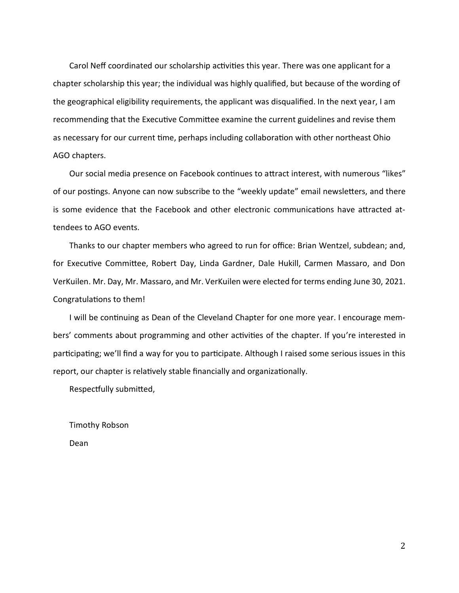Carol Neff coordinated our scholarship activities this year. There was one applicant for a chapter scholarship this year; the individual was highly qualified, but because of the wording of the geographical eligibility requirements, the applicant was disqualified. In the next year, I am recommending that the Executive Committee examine the current guidelines and revise them as necessary for our current time, perhaps including collaboration with other northeast Ohio AGO chapters.

Our social media presence on Facebook continues to attract interest, with numerous "likes" of our postings. Anyone can now subscribe to the "weekly update" email newsletters, and there is some evidence that the Facebook and other electronic communications have attracted attendees to AGO events.

Thanks to our chapter members who agreed to run for office: Brian Wentzel, subdean; and, for Executive Committee, Robert Day, Linda Gardner, Dale Hukill, Carmen Massaro, and Don VerKuilen. Mr. Day, Mr. Massaro, and Mr. VerKuilen were elected for terms ending June 30, 2021. Congratulations to them!

I will be continuing as Dean of the Cleveland Chapter for one more year. I encourage members' comments about programming and other activities of the chapter. If you're interested in participating; we'll find a way for you to participate. Although I raised some serious issues in this report, our chapter is relatively stable financially and organizationally.

Respectfully submitted,

Timothy Robson Dean

2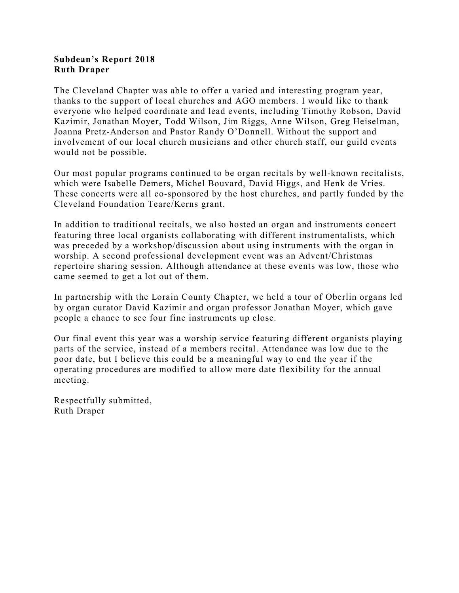### **Subdean's Report 2018 Ruth Draper**

The Cleveland Chapter was able to offer a varied and interesting program year, thanks to the support of local churches and AGO members. I would like to thank everyone who helped coordinate and lead events, including Timothy Robson, David Kazimir, Jonathan Moyer, Todd Wilson, Jim Riggs, Anne Wilson, Greg Heiselman, Joanna Pretz-Anderson and Pastor Randy O'Donnell. Without the support and involvement of our local church musicians and other church staff, our guild events would not be possible.

Our most popular programs continued to be organ recitals by well-known recitalists, which were Isabelle Demers, Michel Bouvard, David Higgs, and Henk de Vries. These concerts were all co-sponsored by the host churches, and partly funded by the Cleveland Foundation Teare/Kerns grant.

In addition to traditional recitals, we also hosted an organ and instruments concert featuring three local organists collaborating with different instrumentalists, which was preceded by a workshop/discussion about using instruments with the organ in worship. A second professional development event was an Advent/Christmas repertoire sharing session. Although attendance at these events was low, those who came seemed to get a lot out of them.

In partnership with the Lorain County Chapter, we held a tour of Oberlin organs led by organ curator David Kazimir and organ professor Jonathan Moyer, which gave people a chance to see four fine instruments up close.

Our final event this year was a worship service featuring different organists playing parts of the service, instead of a members recital. Attendance was low due to the poor date, but I believe this could be a meaningful way to end the year if the operating procedures are modified to allow more date flexibility for the annual meeting.

Respectfully submitted, Ruth Draper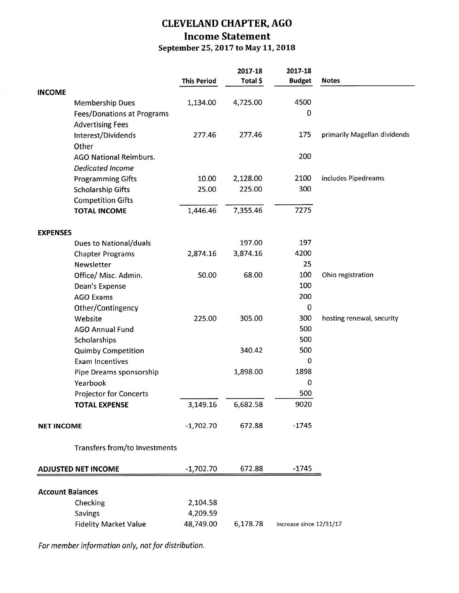# **CLEVELAND CHAPTER, AGO Income Statement** September 25, 2017 to May 11, 2018

|                            |                                      |                    | 2017-18  | 2017-18                 |                              |
|----------------------------|--------------------------------------|--------------------|----------|-------------------------|------------------------------|
|                            |                                      | <b>This Period</b> | Total \$ | <b>Budget</b>           | <b>Notes</b>                 |
| <b>INCOME</b>              |                                      |                    |          |                         |                              |
|                            | <b>Membership Dues</b>               | 1,134.00           | 4,725.00 | 4500                    |                              |
|                            | Fees/Donations at Programs           |                    |          | $\mathbf 0$             |                              |
|                            | <b>Advertising Fees</b>              |                    |          |                         |                              |
|                            | Interest/Dividends                   | 277.46             | 277.46   | 175                     | primarily Magellan dividends |
|                            | Other                                |                    |          |                         |                              |
|                            | <b>AGO National Reimburs.</b>        |                    |          | 200                     |                              |
|                            | <b>Dedicated Income</b>              |                    |          |                         |                              |
|                            | <b>Programming Gifts</b>             | 10.00              | 2,128.00 | 2100                    | includes Pipedreams          |
|                            | <b>Scholarship Gifts</b>             | 25.00              | 225.00   | 300                     |                              |
|                            | <b>Competition Gifts</b>             |                    |          |                         |                              |
|                            | <b>TOTAL INCOME</b>                  | 1,446.46           | 7,355.46 | 7275                    |                              |
| <b>EXPENSES</b>            |                                      |                    |          |                         |                              |
|                            | <b>Dues to National/duals</b>        |                    | 197.00   | 197                     |                              |
|                            | <b>Chapter Programs</b>              | 2,874.16           | 3,874.16 | 4200                    |                              |
|                            | Newsletter                           |                    |          | 25                      |                              |
|                            | Office/ Misc. Admin.                 | 50.00              | 68.00    | 100                     | Ohio registration            |
|                            | Dean's Expense                       |                    |          | 100                     |                              |
|                            | <b>AGO Exams</b>                     |                    |          | 200                     |                              |
|                            | Other/Contingency                    |                    |          | $\mathbf 0$             |                              |
|                            | Website                              | 225.00             | 305.00   | 300                     | hosting renewal, security    |
|                            | <b>AGO Annual Fund</b>               |                    |          | 500                     |                              |
|                            | Scholarships                         |                    |          | 500                     |                              |
|                            | <b>Quimby Competition</b>            |                    | 340.42   | 500                     |                              |
|                            | <b>Exam Incentives</b>               |                    |          | 0                       |                              |
|                            | Pipe Dreams sponsorship              |                    | 1,898.00 | 1898                    |                              |
|                            | Yearbook                             |                    |          | 0                       |                              |
|                            | <b>Projector for Concerts</b>        |                    |          | 500                     |                              |
|                            | <b>TOTAL EXPENSE</b>                 | 3,149.16           | 6,682.58 | 9020                    |                              |
| <b>NET INCOME</b>          |                                      | $-1,702.70$        | 672.88   | $-1745$                 |                              |
|                            | <b>Transfers from/to Investments</b> |                    |          |                         |                              |
| <b>ADJUSTED NET INCOME</b> |                                      | $-1,702.70$        | 672.88   | $-1745$                 |                              |
|                            |                                      |                    |          |                         |                              |
| <b>Account Balances</b>    |                                      |                    |          |                         |                              |
|                            | Checking                             | 2,104.58           |          |                         |                              |
|                            | <b>Savings</b>                       | 4,209.59           |          |                         |                              |
|                            | <b>Fidelity Market Value</b>         | 48,749.00          | 6,178.78 | increase since 12/31/17 |                              |

For member information only, not for distribution.